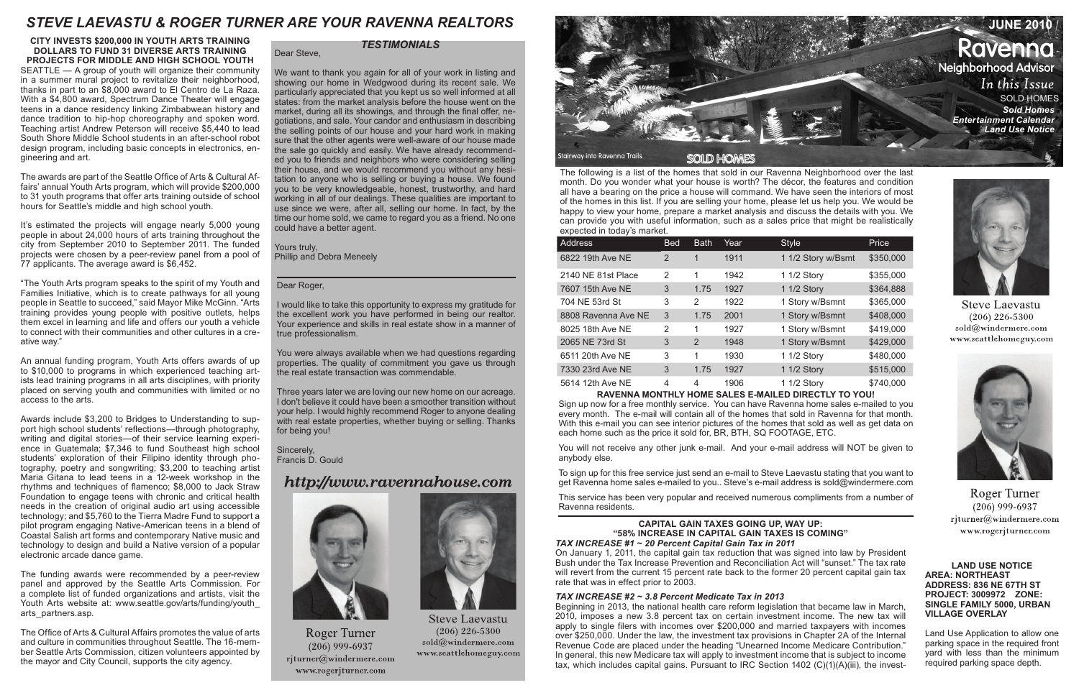The following is a list of the homes that sold in our Ravenna Neighborhood over the last month. Do you wonder what your house is worth? The décor, the features and condition all have a bearing on the price a house will command. We have seen the interiors of most of the homes in this list. If you are selling your home, please let us help you. We would be happy to view your home, prepare a market analysis and discuss the details with you. We can provide you with useful information, such as a sales price that might be realistically expected in today's market.

| S                   |               |             |      |                    |           |  |  |
|---------------------|---------------|-------------|------|--------------------|-----------|--|--|
| Address             | <b>Bed</b>    | <b>Bath</b> | Year | <b>Style</b>       | Price     |  |  |
| 6822 19th Ave NE    | $\mathcal{P}$ | 1           | 1911 | 1 1/2 Story w/Bsmt | \$350,000 |  |  |
| 2140 NE 81st Place  | 2             | 1           | 1942 | 1 1/2 Story        | \$355,000 |  |  |
| 7607 15th Ave NE    | 3             | 1.75        | 1927 | 1 1/2 Story        | \$364,888 |  |  |
| 704 NE 53rd St      | 3             | 2           | 1922 | 1 Story w/Bsmnt    | \$365,000 |  |  |
| 8808 Ravenna Ave NE | 3             | 1.75        | 2001 | 1 Story w/Bsmnt    | \$408,000 |  |  |
| 8025 18th Ave NE    | 2             | 1           | 1927 | 1 Story w/Bsmnt    | \$419,000 |  |  |
| 2065 NE 73rd St     | 3             | 2           | 1948 | 1 Story w/Bsmnt    | \$429,000 |  |  |
| 6511 20th Ave NE    | 3             | 1           | 1930 | 1 1/2 Story        | \$480,000 |  |  |
| 7330 23rd Ave NE    | 3             | 1.75        | 1927 | 1 1/2 Story        | \$515,000 |  |  |
| 5614 12th Ave NE    | 4             | 4           | 1906 | 1 1/2 Story        | \$740,000 |  |  |



#### **RAVENNA MONTHLY HOME SALES E-MAILED DIRECTLY TO YOU!**

Beginning in 2013, the national health care reform legislation that became law in March, 2010, imposes a new 3.8 percent tax on certain investment income. The new tax will apply to single filers with incomes over \$200,000 and married taxpayers with incomes over \$250,000. Under the law, the investment tax provisions in Chapter 2A of the Internal Revenue Code are placed under the heading "Unearned Income Medicare Contribution." In general, this new Medicare tax will apply to investment income that is subject to income tax, which includes capital gains. Pursuant to IRC Section  $1402$  (C)(1)(A)(iii), the invest-



**Steve Laevastu**  $(206)$  226-5300 sold@windermere.com www.seattlehomeguy.com



**Roger Turner**  $(206)$  999-6937 rjturner@windermere.com www.rogerjturner.com

Sign up now for a free monthly service. You can have Ravenna home sales e-mailed to you every month. The e-mail will contain all of the homes that sold in Ravenna for that month. With this e-mail you can see interior pictures of the homes that sold as well as get data on each home such as the price it sold for, BR, BTH, SQ FOOTAGE, ETC.

You will not receive any other junk e-mail. And your e-mail address will NOT be given to anybody else.

To sign up for this free service just send an e-mail to Steve Laevastu stating that you want to get Ravenna home sales e-mailed to you.. Steve's e-mail address is sold@windermere.com

This service has been very popular and received numerous compliments from a number of Ravenna residents.

#### **LAND USE NOTICE AREA: NORTHEAST ADDRESS: 836 NE 67TH ST PROJECT: 3009972 ZONE: SINGLE FAMILY 5000, URBAN VILLAGE OVERLAY**

Land Use Application to allow one parking space in the required front yard with less than the minimum required parking space depth.

#### **CAPITAL GAIN TAXES GOING UP, WAY UP: "58% INCREASE IN CAPITAL GAIN TAXES IS COMING"**  *TAX INCREASE #1 ~ 20 Percent Capital Gain Tax in 2011*

On January 1, 2011, the capital gain tax reduction that was signed into law by President Bush under the Tax Increase Prevention and Reconciliation Act will "sunset." The tax rate will revert from the current 15 percent rate back to the former 20 percent capital gain tax rate that was in effect prior to 2003.

#### *TAX INCREASE #2 ~ 3.8 Percent Medicate Tax in 2013*

## **CITY INVESTS \$200,000 IN YOUTH ARTS TRAINING DOLLARS TO FUND 31 DIVERSE ARTS TRAINING PROJECTS FOR MIDDLE AND HIGH SCHOOL YOUTH**

SEATTLE — A group of youth will organize their community in a summer mural project to revitalize their neighborhood, thanks in part to an \$8,000 award to El Centro de La Raza. With a \$4,800 award, Spectrum Dance Theater will engage teens in a dance residency linking Zimbabwean history and dance tradition to hip-hop choreography and spoken word. Teaching artist Andrew Peterson will receive \$5,440 to lead South Shore Middle School students in an after-school robot design program, including basic concepts in electronics, engineering and art.

The awards are part of the Seattle Office of Arts & Cultural Affairs' annual Youth Arts program, which will provide \$200,000 to 31 youth programs that offer arts training outside of school hours for Seattle's middle and high school youth.

It's estimated the projects will engage nearly 5,000 young people in about 24,000 hours of arts training throughout the city from September 2010 to September 2011. The funded projects were chosen by a peer-review panel from a pool of 77 applicants. The average award is \$6,452.

"The Youth Arts program speaks to the spirit of my Youth and Families Initiative, which is to create pathways for all young people in Seattle to succeed," said Mayor Mike McGinn. "Arts training provides young people with positive outlets, helps them excel in learning and life and offers our youth a vehicle to connect with their communities and other cultures in a creative way."

An annual funding program, Youth Arts offers awards of up to \$10,000 to programs in which experienced teaching artists lead training programs in all arts disciplines, with priority placed on serving youth and communities with limited or no access to the arts.

Awards include \$3,200 to Bridges to Understanding to support high school students' reflections—through photography, writing and digital stories—of their service learning experience in Guatemala; \$7,346 to fund Southeast high school students' exploration of their Filipino identity through photography, poetry and songwriting; \$3,200 to teaching artist Maria Gitana to lead teens in a 12-week workshop in the rhythms and techniques of flamenco; \$8,000 to Jack Straw Foundation to engage teens with chronic and critical health needs in the creation of original audio art using accessible technology; and \$5,760 to the Tierra Madre Fund to support a pilot program engaging Native-American teens in a blend of Coastal Salish art forms and contemporary Native music and technology to design and build a Native version of a popular electronic arcade dance game.

The funding awards were recommended by a peer-review panel and approved by the Seattle Arts Commission. For a complete list of funded organizations and artists, visit the Youth Arts website at: www.seattle.gov/arts/funding/youth arts\_partners.asp.

The Office of Arts & Cultural Affairs promotes the value of arts and culture in communities throughout Seattle. The 16-member Seattle Arts Commission, citizen volunteers appointed by the mayor and City Council, supports the city agency.

#### Dear Roger,

I would like to take this opportunity to express my gratitude for the excellent work you have performed in being our realtor. Your experience and skills in real estate show in a manner of true professionalism.

You were always available when we had questions regarding properties. The quality of commitment you gave us through the real estate transaction was commendable.

Three years later we are loving our new home on our acreage. I don't believe it could have been a smoother transition without your help. I would highly recommend Roger to anyone dealing with real estate properties, whether buying or selling. Thanks for being you!

Sincerely, Francis D. Gould

# http://www.ravennahouse.com



**Roger Turner**  $(206)$  999-6937 rjturner@windermere.com www.rogerjturner.com



**Steve Laevastu**  $(206)$  226-5300  $\mathrm{solid}(\widehat{a})$ windermere.com www.seattlehomeguy.com

Dear Steve,

We want to thank you again for all of your work in listing and showing our home in Wedgwood during its recent sale. We particularly appreciated that you kept us so well informed at all states: from the market analysis before the house went on the market, during all its showings, and through the final offer, negotiations, and sale. Your candor and enthusiasm in describing the selling points of our house and your hard work in making sure that the other agents were well-aware of our house made the sale go quickly and easily. We have already recommended you to friends and neighbors who were considering selling their house, and we would recommend you without any hesitation to anyone who is selling or buying a house. We found you to be very knowledgeable, honest, trustworthy, and hard working in all of our dealings. These qualities are important to use since we were, after all, selling our home. In fact, by the time our home sold, we came to regard you as a friend. No one could have a better agent.

Yours truly, Phillip and Debra Meneely

## *TESTIMONIALS*